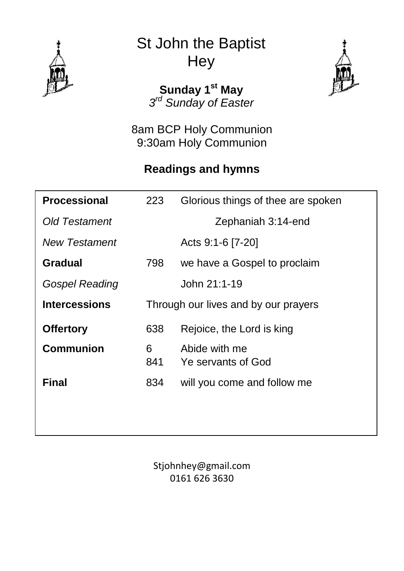

St John the Baptist **Hey** 

> **Sunday 1 st May** *3 rd Sunday of Easter*

8am BCP Holy Communion 9:30am Holy Communion

## **Readings and hymns**

| 223      | Glorious things of thee are spoken   |
|----------|--------------------------------------|
|          | Zephaniah 3:14-end                   |
|          | Acts 9:1-6 [7-20]                    |
| 798      | we have a Gospel to proclaim         |
|          | John 21:1-19                         |
|          | Through our lives and by our prayers |
| 638      | Rejoice, the Lord is king            |
| 6<br>841 | Abide with me<br>Ye servants of God  |
| 834      | will you come and follow me          |
|          |                                      |
|          |                                      |

Stjohnhey@gmail.com 0161 626 3630

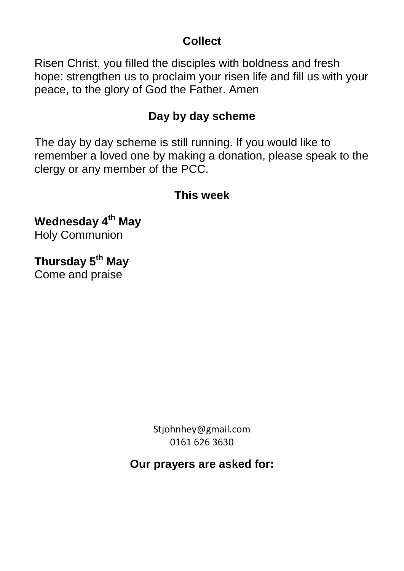## **Collect**

Risen Christ, you filled the disciples with boldness and fresh hope: strengthen us to proclaim your risen life and fill us with your peace, to the glory of God the Father. Amen

## **Day by day scheme**

The day by day scheme is still running. If you would like to remember a loved one by making a donation, please speak to the clergy or any member of the PCC.

## **This week**

**Wednesday 4th May** Holy Communion

**Thursday 5th May** Come and praise

> Stjohnhey@gmail.com 0161 626 3630

**Our prayers are asked for:**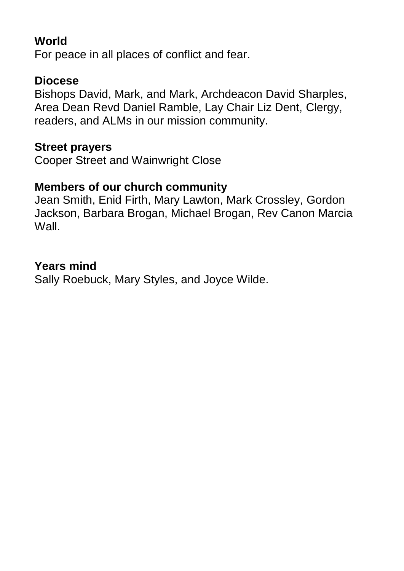## **World**

For peace in all places of conflict and fear.

### **Diocese**

Bishops David, Mark, and Mark, Archdeacon David Sharples, Area Dean Revd Daniel Ramble, Lay Chair Liz Dent, Clergy, readers, and ALMs in our mission community.

#### **Street prayers**

Cooper Street and Wainwright Close

### **Members of our church community**

Jean Smith, Enid Firth, Mary Lawton, Mark Crossley, Gordon Jackson, Barbara Brogan, Michael Brogan, Rev Canon Marcia Wall.

#### **Years mind**

Sally Roebuck, Mary Styles, and Joyce Wilde.